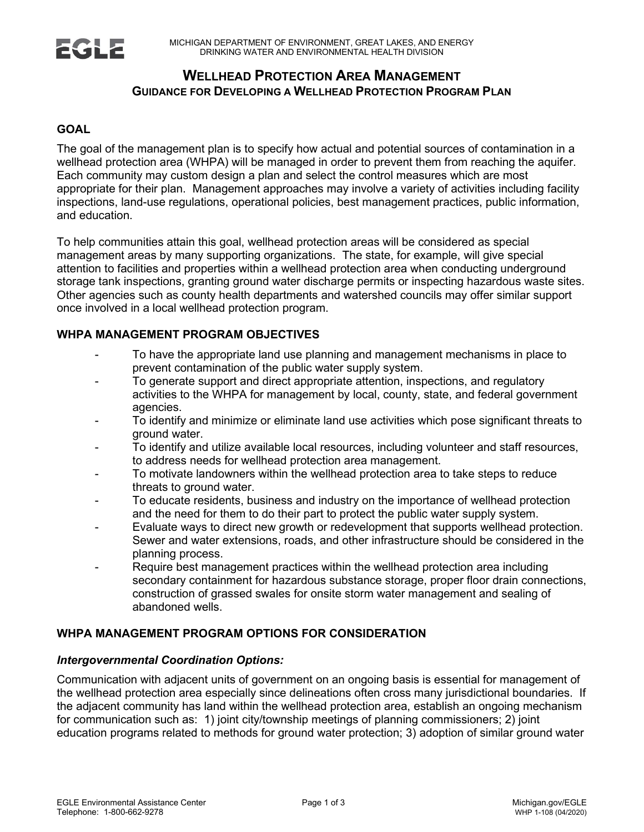

# **WELLHEAD PROTECTION AREA MANAGEMENT GUIDANCE FOR DEVELOPING A WELLHEAD PROTECTION PROGRAM PLAN**

# **GOAL**

The goal of the management plan is to specify how actual and potential sources of contamination in a wellhead protection area (WHPA) will be managed in order to prevent them from reaching the aquifer. Each community may custom design a plan and select the control measures which are most appropriate for their plan. Management approaches may involve a variety of activities including facility inspections, land-use regulations, operational policies, best management practices, public information, and education.

To help communities attain this goal, wellhead protection areas will be considered as special management areas by many supporting organizations. The state, for example, will give special attention to facilities and properties within a wellhead protection area when conducting underground storage tank inspections, granting ground water discharge permits or inspecting hazardous waste sites. Other agencies such as county health departments and watershed councils may offer similar support once involved in a local wellhead protection program.

#### **WHPA MANAGEMENT PROGRAM OBJECTIVES**

- To have the appropriate land use planning and management mechanisms in place to prevent contamination of the public water supply system.
- To generate support and direct appropriate attention, inspections, and regulatory activities to the WHPA for management by local, county, state, and federal government agencies.
- To identify and minimize or eliminate land use activities which pose significant threats to ground water.
- To identify and utilize available local resources, including volunteer and staff resources, to address needs for wellhead protection area management.
- To motivate landowners within the wellhead protection area to take steps to reduce threats to ground water.
- To educate residents, business and industry on the importance of wellhead protection and the need for them to do their part to protect the public water supply system.
- Evaluate ways to direct new growth or redevelopment that supports wellhead protection. Sewer and water extensions, roads, and other infrastructure should be considered in the planning process.
- Require best management practices within the wellhead protection area including secondary containment for hazardous substance storage, proper floor drain connections, construction of grassed swales for onsite storm water management and sealing of abandoned wells.

# **WHPA MANAGEMENT PROGRAM OPTIONS FOR CONSIDERATION**

#### *Intergovernmental Coordination Options:*

Communication with adjacent units of government on an ongoing basis is essential for management of the wellhead protection area especially since delineations often cross many jurisdictional boundaries. If the adjacent community has land within the wellhead protection area, establish an ongoing mechanism for communication such as: 1) joint city/township meetings of planning commissioners; 2) joint education programs related to methods for ground water protection; 3) adoption of similar ground water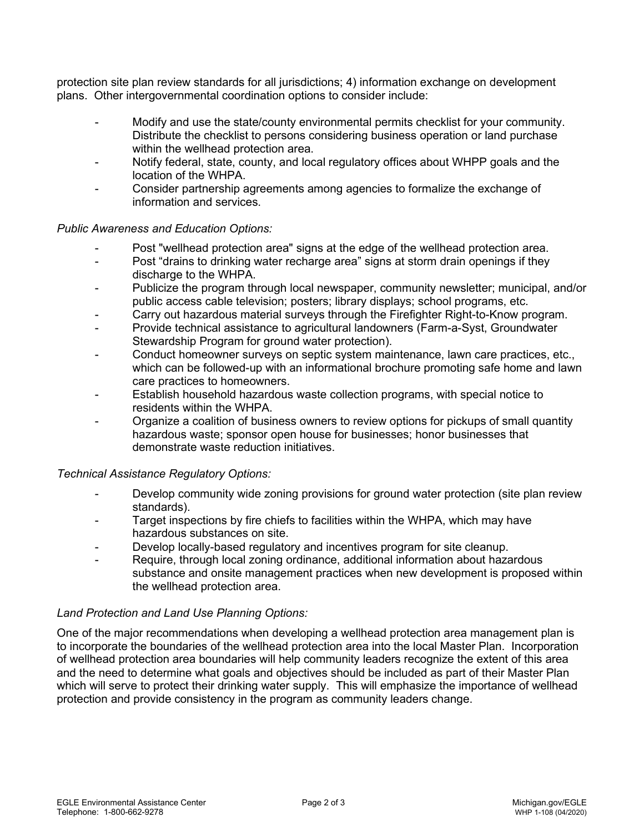protection site plan review standards for all jurisdictions; 4) information exchange on development plans. Other intergovernmental coordination options to consider include:

- Modify and use the state/county environmental permits checklist for your community. Distribute the checklist to persons considering business operation or land purchase within the wellhead protection area.
- Notify federal, state, county, and local regulatory offices about WHPP goals and the location of the WHPA.
- Consider partnership agreements among agencies to formalize the exchange of information and services.

# *Public Awareness and Education Options:*

- Post "wellhead protection area" signs at the edge of the wellhead protection area.
- Post "drains to drinking water recharge area" signs at storm drain openings if they discharge to the WHPA.
- Publicize the program through local newspaper, community newsletter; municipal, and/or public access cable television; posters; library displays; school programs, etc.
- Carry out hazardous material surveys through the Firefighter Right-to-Know program.
- Provide technical assistance to agricultural landowners (Farm-a-Syst, Groundwater Stewardship Program for ground water protection).
- Conduct homeowner surveys on septic system maintenance, lawn care practices, etc., which can be followed-up with an informational brochure promoting safe home and lawn care practices to homeowners.
- Establish household hazardous waste collection programs, with special notice to residents within the WHPA.
- Organize a coalition of business owners to review options for pickups of small quantity hazardous waste; sponsor open house for businesses; honor businesses that demonstrate waste reduction initiatives.

# *Technical Assistance Regulatory Options:*

- Develop community wide zoning provisions for ground water protection (site plan review standards).
- Target inspections by fire chiefs to facilities within the WHPA, which may have hazardous substances on site.
- Develop locally-based regulatory and incentives program for site cleanup.
- Require, through local zoning ordinance, additional information about hazardous substance and onsite management practices when new development is proposed within the wellhead protection area.

# *Land Protection and Land Use Planning Options:*

One of the major recommendations when developing a wellhead protection area management plan is to incorporate the boundaries of the wellhead protection area into the local Master Plan. Incorporation of wellhead protection area boundaries will help community leaders recognize the extent of this area and the need to determine what goals and objectives should be included as part of their Master Plan which will serve to protect their drinking water supply. This will emphasize the importance of wellhead protection and provide consistency in the program as community leaders change.